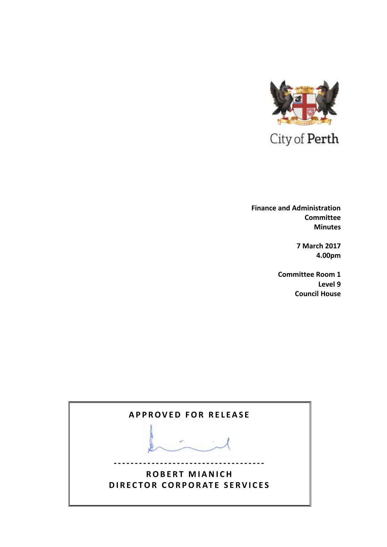

 **Finance and Administration Committee Minutes**

> **7 March 2017 4.00pm**

**Committee Room 1 Level 9 Council House**

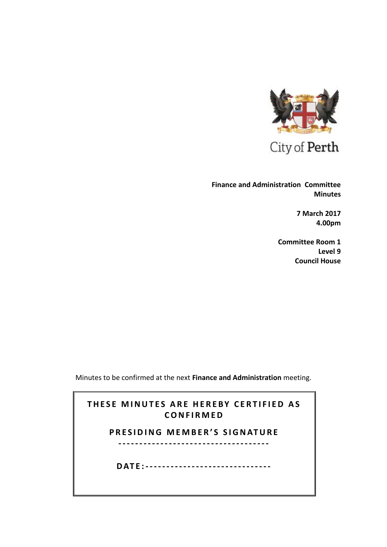

City of Perth

**Finance and Administration Committee Minutes**

> **7 March 2017 4.00pm**

**Committee Room 1 Level 9 Council House**

Minutes to be confirmed at the next **Finance and Administration** meeting.

# **THESE MINUTES ARE HEREBY CERTIFIED AS C O N F I R M E D**

# **PRESIDING MEMBER'S SIGNATURE**

**------------------------------------**

**D AT E : ------------------------------**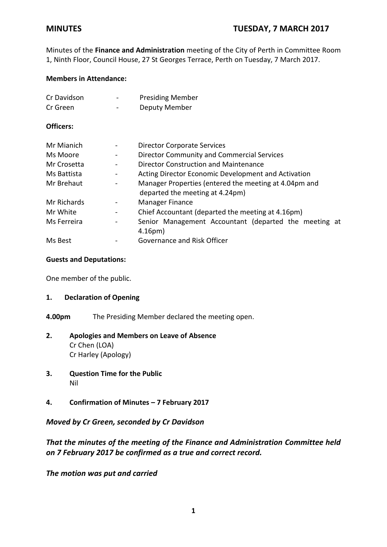Minutes of the **Finance and Administration** meeting of the City of Perth in Committee Room 1, Ninth Floor, Council House, 27 St Georges Terrace, Perth on Tuesday, 7 March 2017.

## **Members in Attendance:**

| Cr Davidson | - | <b>Presiding Member</b> |
|-------------|---|-------------------------|
| Cr Green    | - | Deputy Member           |

## **Officers:**

| Mr Mianich  |                              | <b>Director Corporate Services</b>                                                       |  |
|-------------|------------------------------|------------------------------------------------------------------------------------------|--|
| Ms Moore    |                              | Director Community and Commercial Services                                               |  |
| Mr Crosetta |                              | Director Construction and Maintenance                                                    |  |
| Ms Battista |                              | Acting Director Economic Development and Activation                                      |  |
| Mr Brehaut  |                              | Manager Properties (entered the meeting at 4.04pm and<br>departed the meeting at 4.24pm) |  |
| Mr Richards |                              | Manager Finance                                                                          |  |
| Mr White    | $\qquad \qquad \blacksquare$ | Chief Accountant (departed the meeting at 4.16pm)                                        |  |
| Ms Ferreira |                              | Senior Management Accountant (departed the meeting at<br>4.16 <sub>pm</sub>              |  |
| Ms Best     |                              | Governance and Risk Officer                                                              |  |

## **Guests and Deputations:**

One member of the public.

## **1. Declaration of Opening**

**4.00pm** The Presiding Member declared the meeting open.

## **2. Apologies and Members on Leave of Absence** Cr Chen (LOA) Cr Harley (Apology)

- **3. Question Time for the Public** Nil
- **4. Confirmation of Minutes – 7 February 2017**

## *Moved by Cr Green, seconded by Cr Davidson*

## *That the minutes of the meeting of the Finance and Administration Committee held on 7 February 2017 be confirmed as a true and correct record.*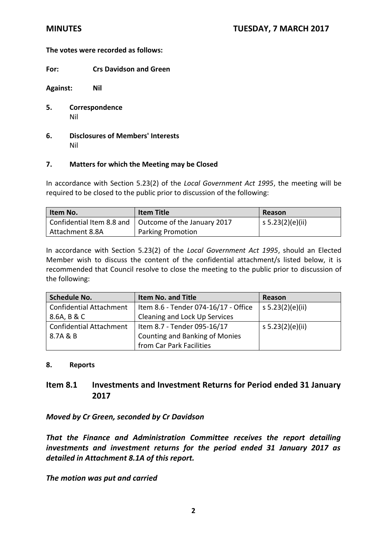**For: Crs Davidson and Green** 

**Against: Nil**

- **5. Correspondence** Nil
- **6. Disclosures of Members' Interests** Nil

## **7. Matters for which the Meeting may be Closed**

In accordance with Section 5.23(2) of the *Local Government Act 1995*, the meeting will be required to be closed to the public prior to discussion of the following:

| Item No.        | <b>Item Title</b>                                       | Reason           |
|-----------------|---------------------------------------------------------|------------------|
|                 | Confidential Item 8.8 and   Outcome of the January 2017 | s 5.23(2)(e)(ii) |
| Attachment 8.8A | <b>Parking Promotion</b>                                |                  |

In accordance with Section 5.23(2) of the *Local Government Act 1995*, should an Elected Member wish to discuss the content of the confidential attachment/s listed below, it is recommended that Council resolve to close the meeting to the public prior to discussion of the following:

| <b>Schedule No.</b>            | <b>Item No. and Title</b>            | Reason           |
|--------------------------------|--------------------------------------|------------------|
| <b>Confidential Attachment</b> | Item 8.6 - Tender 074-16/17 - Office | s 5.23(2)(e)(ii) |
| 8.6A, B & C                    | Cleaning and Lock Up Services        |                  |
| <b>Confidential Attachment</b> | Item 8.7 - Tender 095-16/17          | s 5.23(2)(e)(ii) |
| 8.7A & B                       | Counting and Banking of Monies       |                  |
|                                | from Car Park Facilities             |                  |

### **8. Reports**

## **Item 8.1 Investments and Investment Returns for Period ended 31 January 2017**

*Moved by Cr Green, seconded by Cr Davidson* 

*That the Finance and Administration Committee receives the report detailing investments and investment returns for the period ended 31 January 2017 as detailed in Attachment 8.1A of this report.*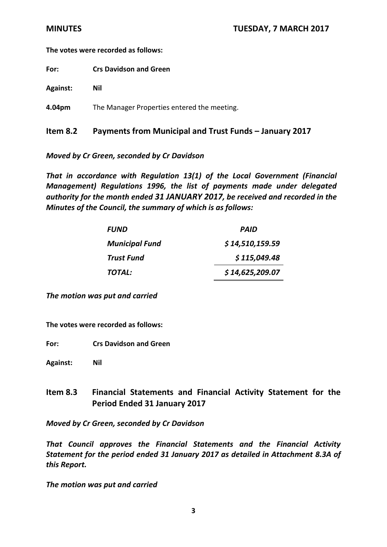**For: Crs Davidson and Green**

**Against: Nil**

**4.04pm** The Manager Properties entered the meeting.

## **Item 8.2 Payments from Municipal and Trust Funds – January 2017**

*Moved by Cr Green, seconded by Cr Davidson* 

*That in accordance with Regulation 13(1) of the Local Government (Financial Management) Regulations 1996, the list of payments made under delegated authority for the month ended 31 JANUARY 2017, be received and recorded in the Minutes of the Council, the summary of which is as follows:*

| <i><b>FUND</b></i>    | <b>PAID</b>     |
|-----------------------|-----------------|
| <b>Municipal Fund</b> | \$14,510,159.59 |
| Trust Fund            | \$115,049.48    |
| TOTAL:                | \$14,625,209.07 |

*The motion was put and carried*

**The votes were recorded as follows:**

**For: Crs Davidson and Green**

**Against: Nil**

# **Item 8.3 Financial Statements and Financial Activity Statement for the Period Ended 31 January 2017**

*Moved by Cr Green, seconded by Cr Davidson*

*That Council approves the Financial Statements and the Financial Activity Statement for the period ended 31 January 2017 as detailed in Attachment 8.3A of this Report.*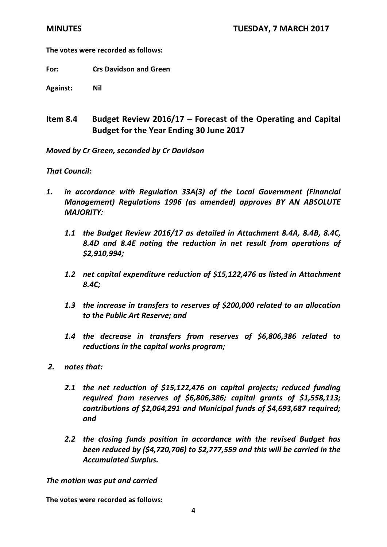**For: Crs Davidson and Green**

**Against: Nil**

# **Item 8.4 Budget Review 2016/17 – Forecast of the Operating and Capital Budget for the Year Ending 30 June 2017**

*Moved by Cr Green, seconded by Cr Davidson* 

## *That Council:*

- *1. in accordance with Regulation 33A(3) of the Local Government (Financial Management) Regulations 1996 (as amended) approves BY AN ABSOLUTE MAJORITY:*
	- *1.1 the Budget Review 2016/17 as detailed in Attachment 8.4A, 8.4B, 8.4C, 8.4D and 8.4E noting the reduction in net result from operations of \$2,910,994;*
	- *1.2 net capital expenditure reduction of \$15,122,476 as listed in Attachment 8.4C;*
	- *1.3 the increase in transfers to reserves of \$200,000 related to an allocation to the Public Art Reserve; and*
	- *1.4 the decrease in transfers from reserves of \$6,806,386 related to reductions in the capital works program;*
- *2. notes that:*
	- *2.1 the net reduction of \$15,122,476 on capital projects; reduced funding required from reserves of \$6,806,386; capital grants of \$1,558,113; contributions of \$2,064,291 and Municipal funds of \$4,693,687 required; and*
	- *2.2 the closing funds position in accordance with the revised Budget has been reduced by (\$4,720,706) to \$2,777,559 and this will be carried in the Accumulated Surplus.*

### *The motion was put and carried*

**The votes were recorded as follows:**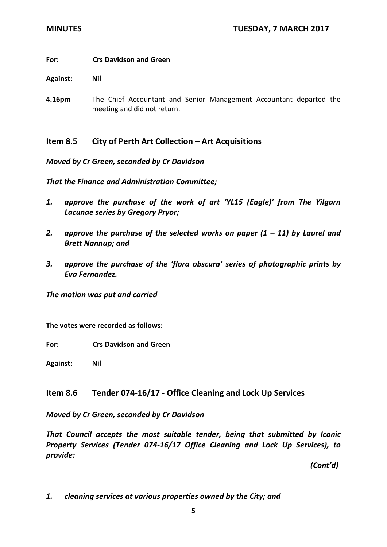## **For: Crs Davidson and Green**

**Against: Nil**

**4.16pm** The Chief Accountant and Senior Management Accountant departed the meeting and did not return.

## **Item 8.5 City of Perth Art Collection – Art Acquisitions**

*Moved by Cr Green, seconded by Cr Davidson*

*That the Finance and Administration Committee;*

- *1. approve the purchase of the work of art 'YL15 (Eagle)' from The Yilgarn Lacunae series by Gregory Pryor;*
- 2. *approve the purchase of the selected works on paper*  $(1 11)$  *by Laurel and Brett Nannup; and*
- *3. approve the purchase of the 'flora obscura' series of photographic prints by Eva Fernandez.*

*The motion was put and carried*

**The votes were recorded as follows:**

**For: Crs Davidson and Green**

**Against: Nil**

## **Item 8.6 Tender 074-16/17 - Office Cleaning and Lock Up Services**

*Moved by Cr Green, seconded by Cr Davidson* 

*That Council accepts the most suitable tender, being that submitted by Iconic Property Services (Tender 074-16/17 Office Cleaning and Lock Up Services), to provide:*

*(Cont'd)* 

*1. cleaning services at various properties owned by the City; and*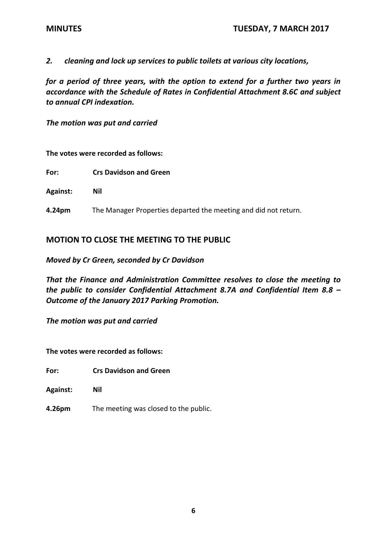*2. cleaning and lock up services to public toilets at various city locations,*

*for a period of three years, with the option to extend for a further two years in accordance with the Schedule of Rates in Confidential Attachment 8.6C and subject to annual CPI indexation.*

*The motion was put and carried*

### **The votes were recorded as follows:**

**For: Crs Davidson and Green**

**Against: Nil**

**4.24pm** The Manager Properties departed the meeting and did not return.

## **MOTION TO CLOSE THE MEETING TO THE PUBLIC**

*Moved by Cr Green, seconded by Cr Davidson* 

*That the Finance and Administration Committee resolves to close the meeting to the public to consider Confidential Attachment 8.7A and Confidential Item 8.8 – Outcome of the January 2017 Parking Promotion.* 

*The motion was put and carried*

**The votes were recorded as follows:**

**For: Crs Davidson and Green** 

- **Against: Nil**
- **4.26pm** The meeting was closed to the public.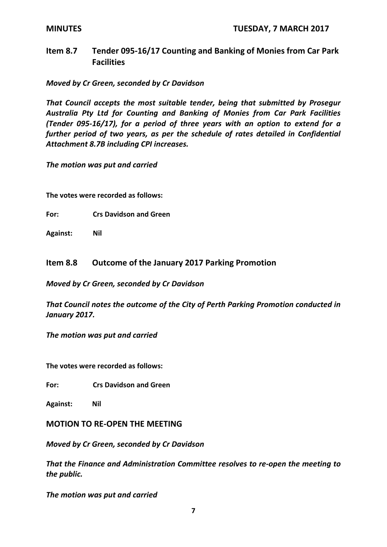# **Item 8.7 Tender 095-16/17 Counting and Banking of Monies from Car Park Facilities**

*Moved by Cr Green, seconded by Cr Davidson* 

*That Council accepts the most suitable tender, being that submitted by Prosegur Australia Pty Ltd for Counting and Banking of Monies from Car Park Facilities (Tender 095-16/17), for a period of three years with an option to extend for a further period of two years, as per the schedule of rates detailed in Confidential Attachment 8.7B including CPI increases.*

*The motion was put and carried*

**The votes were recorded as follows:**

**For: Crs Davidson and Green**

**Against: Nil**

## **Item 8.8 Outcome of the January 2017 Parking Promotion**

*Moved by Cr Green, seconded by Cr Davidson*

*That Council notes the outcome of the City of Perth Parking Promotion conducted in January 2017.*

*The motion was put and carried*

**The votes were recorded as follows:**

**For: Crs Davidson and Green**

**Against: Nil**

**MOTION TO RE-OPEN THE MEETING** 

*Moved by Cr Green, seconded by Cr Davidson* 

*That the Finance and Administration Committee resolves to re-open the meeting to the public.*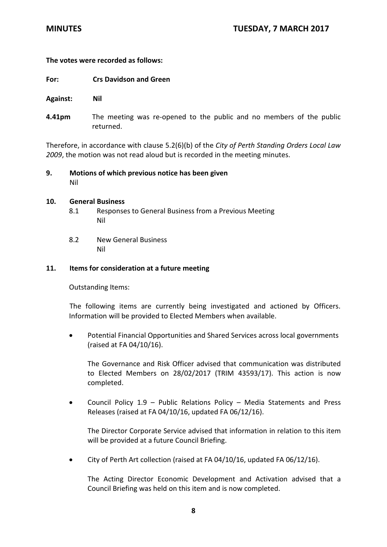- **For: Crs Davidson and Green**
- **Against: Nil**
- **4.41pm** The meeting was re-opened to the public and no members of the public returned.

Therefore, in accordance with clause 5.2(6)(b) of the *City of Perth Standing Orders Local Law 2009*, the motion was not read aloud but is recorded in the meeting minutes.

**9. Motions of which previous notice has been given** Nil

### **10. General Business**

- 8.1 Responses to General Business from a Previous Meeting Nil
- 8.2 New General Business Nil

## **11. Items for consideration at a future meeting**

Outstanding Items:

The following items are currently being investigated and actioned by Officers. Information will be provided to Elected Members when available.

 Potential Financial Opportunities and Shared Services across local governments (raised at FA 04/10/16).

The Governance and Risk Officer advised that communication was distributed to Elected Members on 28/02/2017 (TRIM 43593/17). This action is now completed.

 Council Policy 1.9 – Public Relations Policy – Media Statements and Press Releases (raised at FA 04/10/16, updated FA 06/12/16).

The Director Corporate Service advised that information in relation to this item will be provided at a future Council Briefing.

City of Perth Art collection (raised at FA 04/10/16, updated FA 06/12/16).

The Acting Director Economic Development and Activation advised that a Council Briefing was held on this item and is now completed.